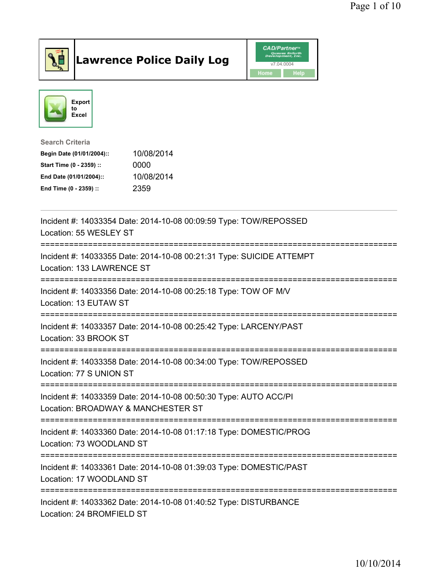

## Lawrence Police Daily Log **Daniel CAD/Partner**





## Search Criteria Begin Date (01/01/2004):: 10/08/2014 Start Time (0 - 2359) :: 0000 End Date (01/01/2004):: 10/08/2014 End Time (0 - 2359) :: 2359

| Incident #: 14033354 Date: 2014-10-08 00:09:59 Type: TOW/REPOSSED<br>Location: 55 WESLEY ST                                     |
|---------------------------------------------------------------------------------------------------------------------------------|
| Incident #: 14033355 Date: 2014-10-08 00:21:31 Type: SUICIDE ATTEMPT<br>Location: 133 LAWRENCE ST<br>-------------------------- |
| Incident #: 14033356 Date: 2014-10-08 00:25:18 Type: TOW OF M/V<br>Location: 13 EUTAW ST                                        |
| Incident #: 14033357 Date: 2014-10-08 00:25:42 Type: LARCENY/PAST<br>Location: 33 BROOK ST                                      |
| Incident #: 14033358 Date: 2014-10-08 00:34:00 Type: TOW/REPOSSED<br>Location: 77 S UNION ST                                    |
| Incident #: 14033359 Date: 2014-10-08 00:50:30 Type: AUTO ACC/PI<br>Location: BROADWAY & MANCHESTER ST                          |
| Incident #: 14033360 Date: 2014-10-08 01:17:18 Type: DOMESTIC/PROG<br>Location: 73 WOODLAND ST                                  |
| Incident #: 14033361 Date: 2014-10-08 01:39:03 Type: DOMESTIC/PAST<br>Location: 17 WOODLAND ST                                  |
| Incident #: 14033362 Date: 2014-10-08 01:40:52 Type: DISTURBANCE<br>Location: 24 BROMFIELD ST                                   |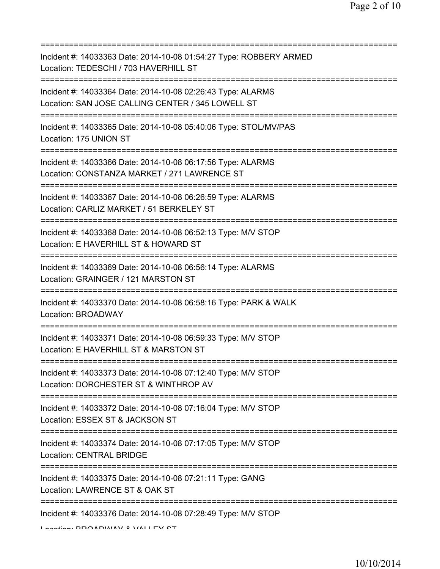| Incident #: 14033363 Date: 2014-10-08 01:54:27 Type: ROBBERY ARMED<br>Location: TEDESCHI / 703 HAVERHILL ST                                              |
|----------------------------------------------------------------------------------------------------------------------------------------------------------|
| Incident #: 14033364 Date: 2014-10-08 02:26:43 Type: ALARMS<br>Location: SAN JOSE CALLING CENTER / 345 LOWELL ST<br>==================================== |
| Incident #: 14033365 Date: 2014-10-08 05:40:06 Type: STOL/MV/PAS<br>Location: 175 UNION ST                                                               |
| Incident #: 14033366 Date: 2014-10-08 06:17:56 Type: ALARMS<br>Location: CONSTANZA MARKET / 271 LAWRENCE ST                                              |
| Incident #: 14033367 Date: 2014-10-08 06:26:59 Type: ALARMS<br>Location: CARLIZ MARKET / 51 BERKELEY ST                                                  |
| Incident #: 14033368 Date: 2014-10-08 06:52:13 Type: M/V STOP<br>Location: E HAVERHILL ST & HOWARD ST                                                    |
| Incident #: 14033369 Date: 2014-10-08 06:56:14 Type: ALARMS<br>Location: GRAINGER / 121 MARSTON ST<br>=======================                            |
| Incident #: 14033370 Date: 2014-10-08 06:58:16 Type: PARK & WALK<br>Location: BROADWAY                                                                   |
| Incident #: 14033371 Date: 2014-10-08 06:59:33 Type: M/V STOP<br>Location: E HAVERHILL ST & MARSTON ST                                                   |
| Incident #: 14033373 Date: 2014-10-08 07:12:40 Type: M/V STOP<br>Location: DORCHESTER ST & WINTHROP AV                                                   |
| Incident #: 14033372 Date: 2014-10-08 07:16:04 Type: M/V STOP<br>Location: ESSEX ST & JACKSON ST                                                         |
| =====================<br>Incident #: 14033374 Date: 2014-10-08 07:17:05 Type: M/V STOP<br><b>Location: CENTRAL BRIDGE</b>                                |
| ====================================<br>Incident #: 14033375 Date: 2014-10-08 07:21:11 Type: GANG<br>Location: LAWRENCE ST & OAK ST                      |
| Incident #: 14033376 Date: 2014-10-08 07:28:49 Type: M/V STOP<br>I sestion. DDOADIMAV 0 VALLEV CT                                                        |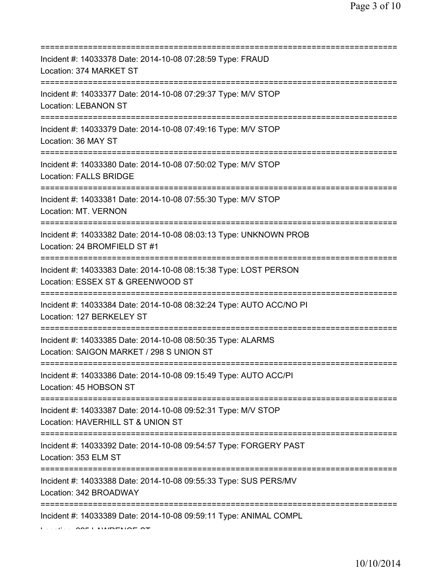| Incident #: 14033378 Date: 2014-10-08 07:28:59 Type: FRAUD<br>Location: 374 MARKET ST                                      |
|----------------------------------------------------------------------------------------------------------------------------|
| Incident #: 14033377 Date: 2014-10-08 07:29:37 Type: M/V STOP<br><b>Location: LEBANON ST</b>                               |
| Incident #: 14033379 Date: 2014-10-08 07:49:16 Type: M/V STOP<br>Location: 36 MAY ST<br>==========================         |
| Incident #: 14033380 Date: 2014-10-08 07:50:02 Type: M/V STOP<br><b>Location: FALLS BRIDGE</b>                             |
| Incident #: 14033381 Date: 2014-10-08 07:55:30 Type: M/V STOP<br>Location: MT. VERNON<br>================================= |
| Incident #: 14033382 Date: 2014-10-08 08:03:13 Type: UNKNOWN PROB<br>Location: 24 BROMFIELD ST #1                          |
| Incident #: 14033383 Date: 2014-10-08 08:15:38 Type: LOST PERSON<br>Location: ESSEX ST & GREENWOOD ST                      |
| Incident #: 14033384 Date: 2014-10-08 08:32:24 Type: AUTO ACC/NO PI<br>Location: 127 BERKELEY ST                           |
| =============<br>Incident #: 14033385 Date: 2014-10-08 08:50:35 Type: ALARMS<br>Location: SAIGON MARKET / 298 S UNION ST   |
| Incident #: 14033386 Date: 2014-10-08 09:15:49 Type: AUTO ACC/PI<br>Location: 45 HOBSON ST                                 |
| Incident #: 14033387 Date: 2014-10-08 09:52:31 Type: M/V STOP<br>Location: HAVERHILL ST & UNION ST                         |
| Incident #: 14033392 Date: 2014-10-08 09:54:57 Type: FORGERY PAST<br>Location: 353 ELM ST                                  |
| Incident #: 14033388 Date: 2014-10-08 09:55:33 Type: SUS PERS/MV<br>Location: 342 BROADWAY                                 |
| Incident #: 14033389 Date: 2014-10-08 09:59:11 Type: ANIMAL COMPL                                                          |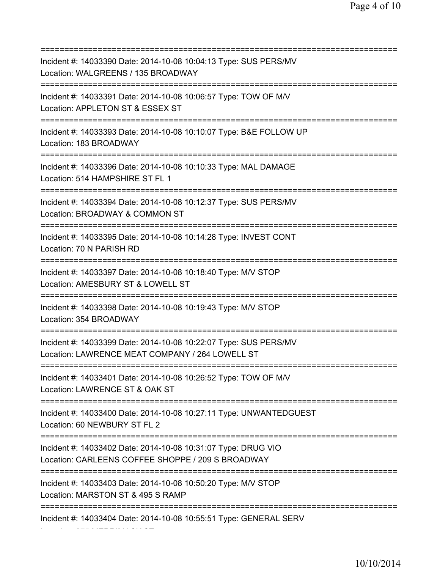=========================================================================== Incident #: 14033390 Date: 2014-10-08 10:04:13 Type: SUS PERS/MV Location: WALGREENS / 135 BROADWAY =========================================================================== Incident #: 14033391 Date: 2014-10-08 10:06:57 Type: TOW OF M/V Location: APPLETON ST & ESSEX ST =========================================================================== Incident #: 14033393 Date: 2014-10-08 10:10:07 Type: B&E FOLLOW UP Location: 183 BROADWAY =========================================================================== Incident #: 14033396 Date: 2014-10-08 10:10:33 Type: MAL DAMAGE Location: 514 HAMPSHIRE ST FL 1 =========================================================================== Incident #: 14033394 Date: 2014-10-08 10:12:37 Type: SUS PERS/MV Location: BROADWAY & COMMON ST =========================================================================== Incident #: 14033395 Date: 2014-10-08 10:14:28 Type: INVEST CONT Location: 70 N PARISH RD =========================================================================== Incident #: 14033397 Date: 2014-10-08 10:18:40 Type: M/V STOP Location: AMESBURY ST & LOWELL ST =========================================================================== Incident #: 14033398 Date: 2014-10-08 10:19:43 Type: M/V STOP Location: 354 BROADWAY =========================================================================== Incident #: 14033399 Date: 2014-10-08 10:22:07 Type: SUS PERS/MV Location: LAWRENCE MEAT COMPANY / 264 LOWELL ST =========================================================================== Incident #: 14033401 Date: 2014-10-08 10:26:52 Type: TOW OF M/V Location: LAWRENCE ST & OAK ST =========================================================================== Incident #: 14033400 Date: 2014-10-08 10:27:11 Type: UNWANTEDGUEST Location: 60 NEWBURY ST FL 2 =========================================================================== Incident #: 14033402 Date: 2014-10-08 10:31:07 Type: DRUG VIO Location: CARLEENS COFFEE SHOPPE / 209 S BROADWAY =========================================================================== Incident #: 14033403 Date: 2014-10-08 10:50:20 Type: M/V STOP Location: MARSTON ST & 495 S RAMP =========================================================================== Incident #: 14033404 Date: 2014-10-08 10:55:51 Type: GENERAL SERV Location: 275 MERRIMACK ST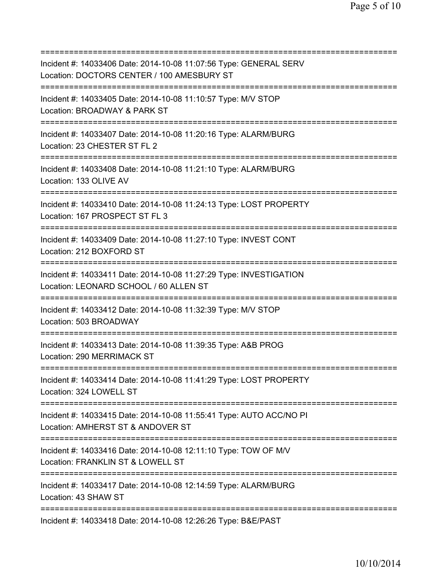=========================================================================== Incident #: 14033406 Date: 2014-10-08 11:07:56 Type: GENERAL SERV Location: DOCTORS CENTER / 100 AMESBURY ST =========================================================================== Incident #: 14033405 Date: 2014-10-08 11:10:57 Type: M/V STOP Location: BROADWAY & PARK ST =========================================================================== Incident #: 14033407 Date: 2014-10-08 11:20:16 Type: ALARM/BURG Location: 23 CHESTER ST FL 2 =========================================================================== Incident #: 14033408 Date: 2014-10-08 11:21:10 Type: ALARM/BURG Location: 133 OLIVE AV =========================================================================== Incident #: 14033410 Date: 2014-10-08 11:24:13 Type: LOST PROPERTY Location: 167 PROSPECT ST FL 3 =========================================================================== Incident #: 14033409 Date: 2014-10-08 11:27:10 Type: INVEST CONT Location: 212 BOXFORD ST =========================================================================== Incident #: 14033411 Date: 2014-10-08 11:27:29 Type: INVESTIGATION Location: LEONARD SCHOOL / 60 ALLEN ST =========================================================================== Incident #: 14033412 Date: 2014-10-08 11:32:39 Type: M/V STOP Location: 503 BROADWAY =========================================================================== Incident #: 14033413 Date: 2014-10-08 11:39:35 Type: A&B PROG Location: 290 MERRIMACK ST =========================================================================== Incident #: 14033414 Date: 2014-10-08 11:41:29 Type: LOST PROPERTY Location: 324 LOWELL ST =========================================================================== Incident #: 14033415 Date: 2014-10-08 11:55:41 Type: AUTO ACC/NO PI Location: AMHERST ST & ANDOVER ST =========================================================================== Incident #: 14033416 Date: 2014-10-08 12:11:10 Type: TOW OF M/V Location: FRANKLIN ST & LOWELL ST =========================================================================== Incident #: 14033417 Date: 2014-10-08 12:14:59 Type: ALARM/BURG Location: 43 SHAW ST =========================================================================== Incident #: 14033418 Date: 2014-10-08 12:26:26 Type: B&E/PAST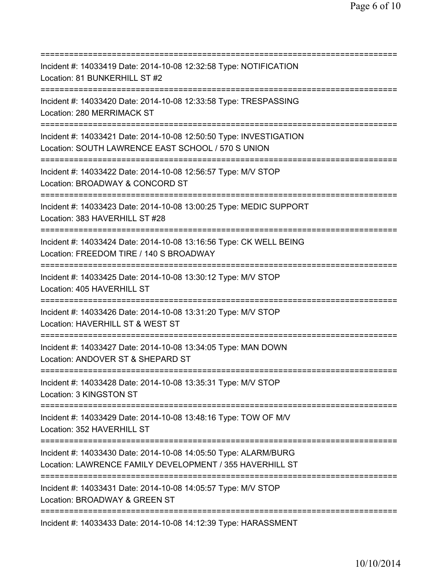=========================================================================== Incident #: 14033419 Date: 2014-10-08 12:32:58 Type: NOTIFICATION Location: 81 BUNKERHILL ST #2 =========================================================================== Incident #: 14033420 Date: 2014-10-08 12:33:58 Type: TRESPASSING Location: 280 MERRIMACK ST =========================================================================== Incident #: 14033421 Date: 2014-10-08 12:50:50 Type: INVESTIGATION Location: SOUTH LAWRENCE EAST SCHOOL / 570 S UNION =========================================================================== Incident #: 14033422 Date: 2014-10-08 12:56:57 Type: M/V STOP Location: BROADWAY & CONCORD ST =========================================================================== Incident #: 14033423 Date: 2014-10-08 13:00:25 Type: MEDIC SUPPORT Location: 383 HAVERHILL ST #28 =========================================================================== Incident #: 14033424 Date: 2014-10-08 13:16:56 Type: CK WELL BEING Location: FREEDOM TIRE / 140 S BROADWAY =========================================================================== Incident #: 14033425 Date: 2014-10-08 13:30:12 Type: M/V STOP Location: 405 HAVERHILL ST =========================================================================== Incident #: 14033426 Date: 2014-10-08 13:31:20 Type: M/V STOP Location: HAVERHILL ST & WEST ST =========================================================================== Incident #: 14033427 Date: 2014-10-08 13:34:05 Type: MAN DOWN Location: ANDOVER ST & SHEPARD ST =========================================================================== Incident #: 14033428 Date: 2014-10-08 13:35:31 Type: M/V STOP Location: 3 KINGSTON ST =========================================================================== Incident #: 14033429 Date: 2014-10-08 13:48:16 Type: TOW OF M/V Location: 352 HAVERHILL ST =========================================================================== Incident #: 14033430 Date: 2014-10-08 14:05:50 Type: ALARM/BURG Location: LAWRENCE FAMILY DEVELOPMENT / 355 HAVERHILL ST =========================================================================== Incident #: 14033431 Date: 2014-10-08 14:05:57 Type: M/V STOP Location: BROADWAY & GREEN ST =========================================================================== Incident #: 14033433 Date: 2014-10-08 14:12:39 Type: HARASSMENT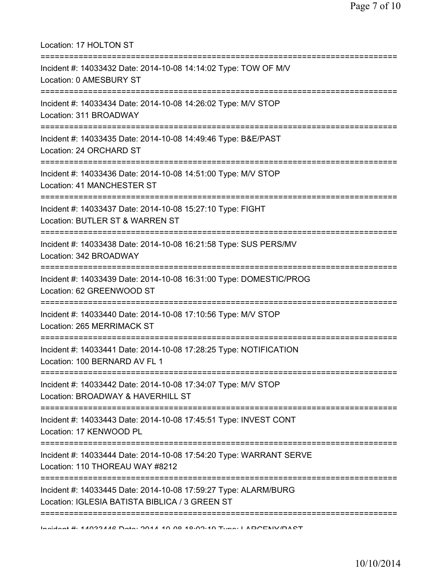| Location: 17 HOLTON ST<br>====================                                                                                     |
|------------------------------------------------------------------------------------------------------------------------------------|
| Incident #: 14033432 Date: 2014-10-08 14:14:02 Type: TOW OF M/V<br>Location: 0 AMESBURY ST                                         |
| Incident #: 14033434 Date: 2014-10-08 14:26:02 Type: M/V STOP<br>Location: 311 BROADWAY                                            |
| Incident #: 14033435 Date: 2014-10-08 14:49:46 Type: B&E/PAST<br>Location: 24 ORCHARD ST                                           |
| ===============================<br>Incident #: 14033436 Date: 2014-10-08 14:51:00 Type: M/V STOP<br>Location: 41 MANCHESTER ST     |
| Incident #: 14033437 Date: 2014-10-08 15:27:10 Type: FIGHT<br>Location: BUTLER ST & WARREN ST                                      |
| Incident #: 14033438 Date: 2014-10-08 16:21:58 Type: SUS PERS/MV<br>Location: 342 BROADWAY                                         |
| Incident #: 14033439 Date: 2014-10-08 16:31:00 Type: DOMESTIC/PROG<br>Location: 62 GREENWOOD ST                                    |
| Incident #: 14033440 Date: 2014-10-08 17:10:56 Type: M/V STOP<br>Location: 265 MERRIMACK ST                                        |
| Incident #: 14033441 Date: 2014-10-08 17:28:25 Type: NOTIFICATION<br>Location: 100 BERNARD AV FL 1                                 |
| Incident #: 14033442 Date: 2014-10-08 17:34:07 Type: M/V STOP<br>Location: BROADWAY & HAVERHILL ST                                 |
| Incident #: 14033443 Date: 2014-10-08 17:45:51 Type: INVEST CONT<br>Location: 17 KENWOOD PL                                        |
| Incident #: 14033444 Date: 2014-10-08 17:54:20 Type: WARRANT SERVE<br>Location: 110 THOREAU WAY #8212                              |
| :============<br>Incident #: 14033445 Date: 2014-10-08 17:59:27 Type: ALARM/BURG<br>Location: IGLESIA BATISTA BIBLICA / 3 GREEN ST |
| Incident # 11099112 Data: 0011 10 00 10:00:10 Tune: I ADOENIVIDACT                                                                 |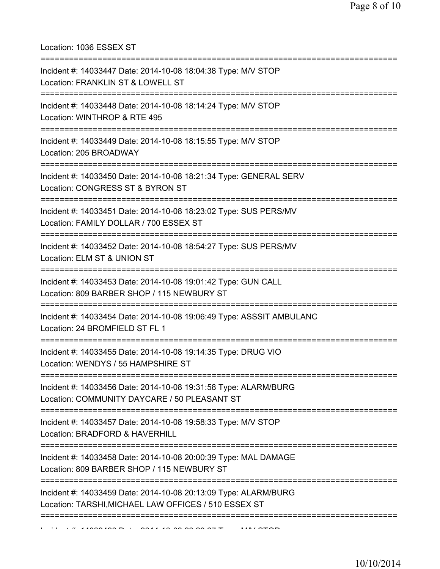Location: 1036 ESSEX ST

| Incident #: 14033447 Date: 2014-10-08 18:04:38 Type: M/V STOP<br>Location: FRANKLIN ST & LOWELL ST                             |
|--------------------------------------------------------------------------------------------------------------------------------|
| :=========================<br>Incident #: 14033448 Date: 2014-10-08 18:14:24 Type: M/V STOP<br>Location: WINTHROP & RTE 495    |
| Incident #: 14033449 Date: 2014-10-08 18:15:55 Type: M/V STOP<br>Location: 205 BROADWAY                                        |
| Incident #: 14033450 Date: 2014-10-08 18:21:34 Type: GENERAL SERV<br>Location: CONGRESS ST & BYRON ST                          |
| Incident #: 14033451 Date: 2014-10-08 18:23:02 Type: SUS PERS/MV<br>Location: FAMILY DOLLAR / 700 ESSEX ST                     |
| Incident #: 14033452 Date: 2014-10-08 18:54:27 Type: SUS PERS/MV<br>Location: ELM ST & UNION ST                                |
| Incident #: 14033453 Date: 2014-10-08 19:01:42 Type: GUN CALL<br>Location: 809 BARBER SHOP / 115 NEWBURY ST                    |
| Incident #: 14033454 Date: 2014-10-08 19:06:49 Type: ASSSIT AMBULANC<br>Location: 24 BROMFIELD ST FL 1                         |
| Incident #: 14033455 Date: 2014-10-08 19:14:35 Type: DRUG VIO<br>Location: WENDYS / 55 HAMPSHIRE ST                            |
| ===========<br>Incident #: 14033456 Date: 2014-10-08 19:31:58 Type: ALARM/BURG<br>Location: COMMUNITY DAYCARE / 50 PLEASANT ST |
| Incident #: 14033457 Date: 2014-10-08 19:58:33 Type: M/V STOP<br>Location: BRADFORD & HAVERHILL                                |
| Incident #: 14033458 Date: 2014-10-08 20:00:39 Type: MAL DAMAGE<br>Location: 809 BARBER SHOP / 115 NEWBURY ST                  |
| Incident #: 14033459 Date: 2014-10-08 20:13:09 Type: ALARM/BURG<br>Location: TARSHI, MICHAEL LAW OFFICES / 510 ESSEX ST        |
| $\overline{1}$                                                                                                                 |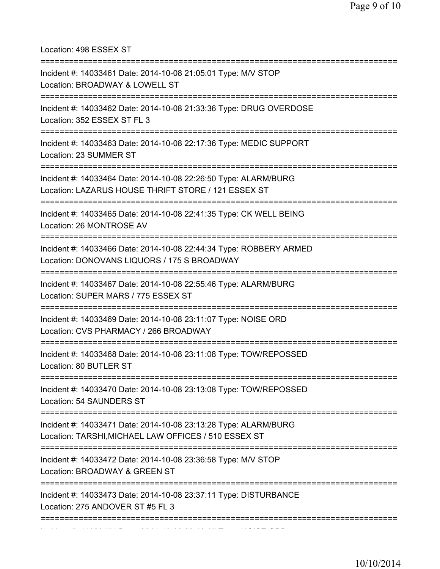Location: 498 ESSEX ST

| Incident #: 14033461 Date: 2014-10-08 21:05:01 Type: M/V STOP<br>Location: BROADWAY & LOWELL ST                                              |
|----------------------------------------------------------------------------------------------------------------------------------------------|
| Incident #: 14033462 Date: 2014-10-08 21:33:36 Type: DRUG OVERDOSE<br>Location: 352 ESSEX ST FL 3<br>-------------                           |
| Incident #: 14033463 Date: 2014-10-08 22:17:36 Type: MEDIC SUPPORT<br>Location: 23 SUMMER ST                                                 |
| Incident #: 14033464 Date: 2014-10-08 22:26:50 Type: ALARM/BURG<br>Location: LAZARUS HOUSE THRIFT STORE / 121 ESSEX ST<br>:===============   |
| Incident #: 14033465 Date: 2014-10-08 22:41:35 Type: CK WELL BEING<br>Location: 26 MONTROSE AV                                               |
| Incident #: 14033466 Date: 2014-10-08 22:44:34 Type: ROBBERY ARMED<br>Location: DONOVANS LIQUORS / 175 S BROADWAY<br>----------------------- |
| Incident #: 14033467 Date: 2014-10-08 22:55:46 Type: ALARM/BURG<br>Location: SUPER MARS / 775 ESSEX ST                                       |
| Incident #: 14033469 Date: 2014-10-08 23:11:07 Type: NOISE ORD<br>Location: CVS PHARMACY / 266 BROADWAY                                      |
| Incident #: 14033468 Date: 2014-10-08 23:11:08 Type: TOW/REPOSSED<br>Location: 80 BUTLER ST                                                  |
| Incident #: 14033470 Date: 2014-10-08 23:13:08 Type: TOW/REPOSSED<br>Location: 54 SAUNDERS ST                                                |
| Incident #: 14033471 Date: 2014-10-08 23:13:28 Type: ALARM/BURG<br>Location: TARSHI, MICHAEL LAW OFFICES / 510 ESSEX ST                      |
| Incident #: 14033472 Date: 2014-10-08 23:36:58 Type: M/V STOP<br>Location: BROADWAY & GREEN ST                                               |
| Incident #: 14033473 Date: 2014-10-08 23:37:11 Type: DISTURBANCE<br>Location: 275 ANDOVER ST #5 FL 3                                         |
|                                                                                                                                              |